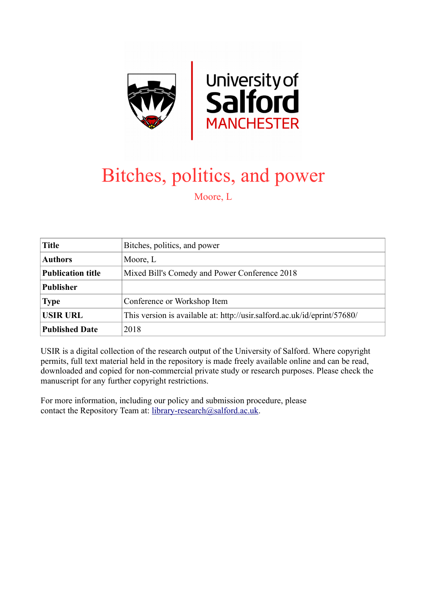

## Bitches, politics, and power Moore, L

| <b>Title</b>             | Bitches, politics, and power                                             |
|--------------------------|--------------------------------------------------------------------------|
| <b>Authors</b>           | Moore, L                                                                 |
| <b>Publication title</b> | Mixed Bill's Comedy and Power Conference 2018                            |
| <b>Publisher</b>         |                                                                          |
| <b>Type</b>              | Conference or Workshop Item                                              |
| <b>USIR URL</b>          | This version is available at: http://usir.salford.ac.uk/id/eprint/57680/ |
| <b>Published Date</b>    | 2018                                                                     |

USIR is a digital collection of the research output of the University of Salford. Where copyright permits, full text material held in the repository is made freely available online and can be read, downloaded and copied for non-commercial private study or research purposes. Please check the manuscript for any further copyright restrictions.

For more information, including our policy and submission procedure, please contact the Repository Team at: [library-research@salford.ac.uk.](mailto:library-research@salford.ac.uk)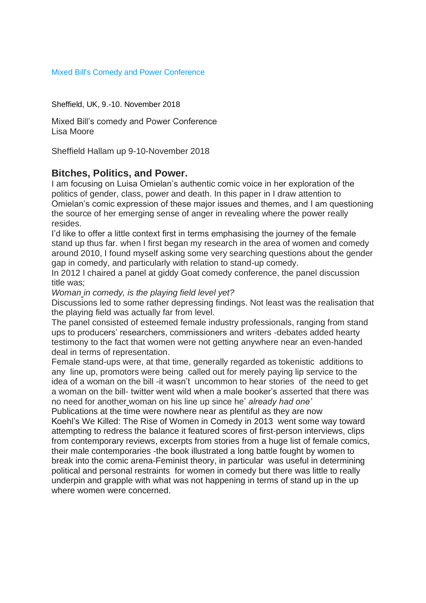## Mixed Bill's Comedy and Power Conference

Sheffield, UK, 9.-10. November 2018

Mixed Bill's comedy and Power Conference Lisa Moore

Sheffield Hallam up 9-10-November 2018

## **Bitches, Politics, and Power.**

I am focusing on Luisa Omielan's authentic comic voice in her exploration of the politics of gender, class, power and death. In this paper in I draw attention to Omielan's comic expression of these major issues and themes, and I am questioning the source of her emerging sense of anger in revealing where the power really resides.

I'd like to offer a little context first in terms emphasising the journey of the female stand up thus far. when I first began my research in the area of women and comedy around 2010, I found myself asking some very searching questions about the gender gap in comedy, and particularly with relation to stand-up comedy.

In 2012 I chaired a panel at giddy Goat comedy conference, the panel discussion title was;

*Woman in comedy, is the playing field level yet?* 

Discussions led to some rather depressing findings. Not least was the realisation that the playing field was actually far from level.

The panel consisted of esteemed female industry professionals, ranging from stand ups to producers' researchers, commissioners and writers -debates added hearty testimony to the fact that women were not getting anywhere near an even-handed deal in terms of representation.

Female stand-ups were, at that time, generally regarded as tokenistic additions to any line up, promotors were being called out for merely paying lip service to the idea of a woman on the bill -it wasn't uncommon to hear stories of the need to get a woman on the bill- twitter went wild when a male booker's asserted that there was no need for another woman on his line up since he' *already had one'*

Publications at the time were nowhere near as plentiful as they are now Koehl's We Killed: The Rise of Women in Comedy in 2013 went some way toward attempting to redress the balance it featured scores of first-person interviews, clips from contemporary reviews, excerpts from stories from a huge list of female comics, their male contemporaries -the book illustrated a long battle fought by women to break into the comic arena-Feminist theory, in particular was useful in determining political and personal restraints for women in comedy but there was little to really underpin and grapple with what was not happening in terms of stand up in the up where women were concerned.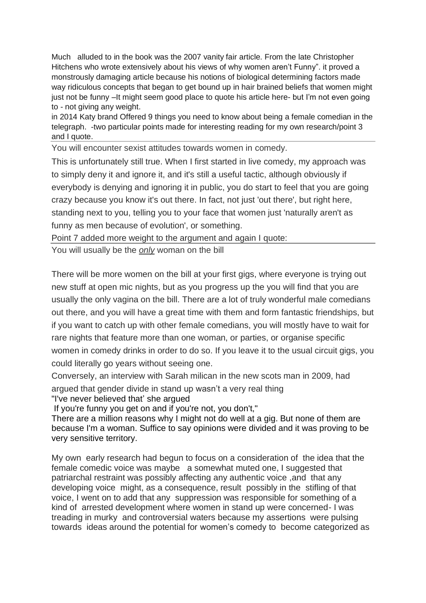Much alluded to in the book was the 2007 vanity fair article. From the late Christopher Hitchens who wrote extensively about his views of why women aren't Funny". it proved a monstrously damaging article because his notions of biological determining factors made way ridiculous concepts that began to get bound up in hair brained beliefs that women might just not be funny –It might seem good place to quote his article here- but I'm not even going to - not giving any weight.

in 2014 Katy brand Offered 9 things you need to know about being a female comedian in the telegraph. -two particular points made for interesting reading for my own research/point 3 and I quote.

You will encounter sexist attitudes towards women in comedy.

This is unfortunately still true. When I first started in live comedy, my approach was to simply deny it and ignore it, and it's still a useful tactic, although obviously if everybody is denying and ignoring it in public, you do start to feel that you are going crazy because you know it's out there. In fact, not just 'out there', but right here, standing next to you, telling you to your face that women just 'naturally aren't as funny as men because of evolution', or something.

Point 7 added more weight to the argument and again I quote:

You will usually be the *only* woman on the bill

There will be more women on the bill at your first gigs, where everyone is trying out new stuff at open mic nights, but as you progress up the you will find that you are usually the only vagina on the bill. There are a lot of truly wonderful male comedians out there, and you will have a great time with them and form fantastic friendships, but if you want to catch up with other female comedians, you will mostly have to wait for rare nights that feature more than one woman, or parties, or organise specific women in comedy drinks in order to do so. If you leave it to the usual circuit gigs, you could literally go years without seeing one.

Conversely, an interview with Sarah milican in the new scots man in 2009, had argued that gender divide in stand up wasn't a very real thing "I've never believed that' she argued

If you're funny you get on and if you're not, you don't,"

There are a million reasons why I might not do well at a gig. But none of them are because I'm a woman. Suffice to say opinions were divided and it was proving to be very sensitive territory.

My own early research had begun to focus on a consideration of the idea that the female comedic voice was maybe a somewhat muted one, I suggested that patriarchal restraint was possibly affecting any authentic voice ,and that any developing voice might, as a consequence, result possibly in the stifling of that voice, I went on to add that any suppression was responsible for something of a kind of arrested development where women in stand up were concerned- I was treading in murky and controversial waters because my assertions were pulsing towards ideas around the potential for women's comedy to become categorized as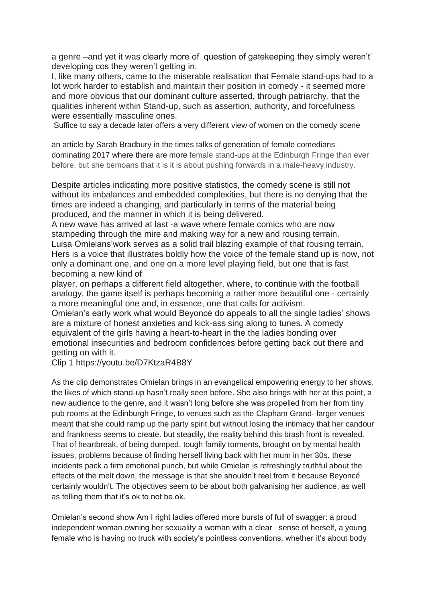a genre –and yet it was clearly more of question of gatekeeping they simply weren't' developing cos they weren't getting in.

I, like many others, came to the miserable realisation that Female stand-ups had to a lot work harder to establish and maintain their position in comedy - it seemed more and more obvious that our dominant culture asserted, through patriarchy, that the qualities inherent within Stand-up, such as assertion, authority, and forcefulness were essentially masculine ones.

Suffice to say a decade later offers a very different view of women on the comedy scene

an article by Sarah Bradbury in the times talks of generation of female comedians dominating 2017 where there are more female stand-ups at the Edinburgh Fringe than ever before, but she bemoans that it is it is about pushing forwards in a male-heavy industry.

Despite articles indicating more positive statistics, the comedy scene is still not without its imbalances and embedded complexities, but there is no denying that the times are indeed a changing, and particularly in terms of the material being produced, and the manner in which it is being delivered.

A new wave has arrived at last -a wave where female comics who are now stampeding through the mire and making way for a new and rousing terrain. Luisa Omielans'work serves as a solid trail blazing example of that rousing terrain. Hers is a voice that illustrates boldly how the voice of the female stand up is now, not only a dominant one, and one on a more level playing field, but one that is fast becoming a new kind of

player, on perhaps a different field altogether, where, to continue with the football analogy, the game itself is perhaps becoming a rather more beautiful one - certainly a more meaningful one and, in essence, one that calls for activism.

Omielan's early work what would Beyoncé do appeals to all the single ladies' shows are a mixture of honest anxieties and kick-ass sing along to tunes. A comedy equivalent of the girls having a heart-to-heart in the the ladies bonding over emotional insecurities and bedroom confidences before getting back out there and getting on with it.

Clip 1 https://youtu.be/D7KtzaR4B8Y

As the clip demonstrates Omielan brings in an evangelical empowering energy to her shows, the likes of which stand-up hasn't really seen before. She also brings with her at this point, a new audience to the genre, and it wasn't long before she was propelled from her from tiny pub rooms at the Edinburgh Fringe, to venues such as the Clapham Grand- larger venues meant that she could ramp up the party spirit but without losing the intimacy that her candour and frankness seems to create. but steadily, the reality behind this brash front is revealed. That of heartbreak, of being dumped, tough family torments, brought on by mental health issues, problems because of finding herself living back with her mum in her 30s. these incidents pack a firm emotional punch, but while Omielan is refreshingly truthful about the effects of the melt down, the message is that she shouldn't reel from it because Beyoncé certainly wouldn't. The objectives seem to be about both galvanising her audience, as well as telling them that it's ok to not be ok.

Omielan's second show Am I right ladies offered more bursts of full of swagger: a proud independent woman owning her sexuality a woman with a clear sense of herself, a young female who is having no truck with society's pointless conventions, whether it's about body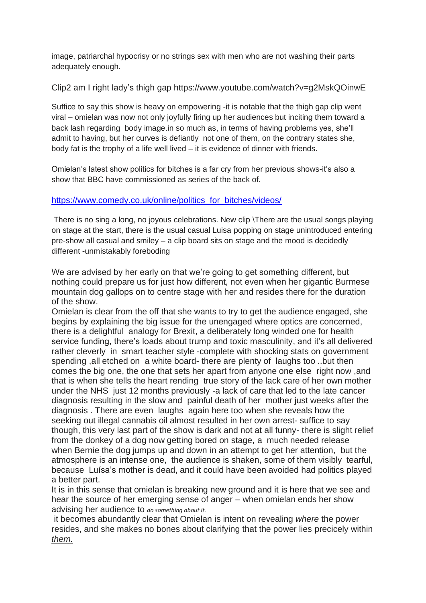image, patriarchal hypocrisy or no strings sex with men who are not washing their parts adequately enough.

Clip2 am I right lady's thigh gap https://www.youtube.com/watch?v=g2MskQOinwE

Suffice to say this show is heavy on empowering -it is notable that the thigh gap clip went viral – omielan was now not only joyfully firing up her audiences but inciting them toward a back lash regarding body image.in so much as, in terms of having problems yes, she'll admit to having, but her curves is defiantly not one of them, on the contrary states she, body fat is the trophy of a life well lived – it is evidence of dinner with friends.

Omielan's latest show politics for bitches is a far cry from her previous shows-it's also a show that BBC have commissioned as series of the back of.

## [https://www.comedy.co.uk/online/politics\\_for\\_bitches/videos/](https://emea01.safelinks.protection.outlook.com/?url=https%3A%2F%2Fwww.comedy.co.uk%2Fonline%2Fpolitics_for_bitches%2Fvideos%2F&data=02%7C01%7C%7C59e1203babeb4ad76ad608d643ec3e45%7C65b52940f4b641bd833d3033ecbcf6e1%7C0%7C0%7C636771079273607713&sdata=ms0Zr7aJtYP0793B8ssyj8anQAQ2M8%2FQm3JC2czPYAw%3D&reserved=0)

There is no sing a long, no joyous celebrations. New clip \There are the usual songs playing on stage at the start, there is the usual casual Luisa popping on stage unintroduced entering pre-show all casual and smiley – a clip board sits on stage and the mood is decidedly different -unmistakably foreboding

We are advised by her early on that we're going to get something different, but nothing could prepare us for just how different, not even when her gigantic Burmese mountain dog gallops on to centre stage with her and resides there for the duration of the show.

Omielan is clear from the off that she wants to try to get the audience engaged, she begins by explaining the big issue for the unengaged where optics are concerned, there is a delightful analogy for Brexit, a deliberately long winded one for health service funding, there's loads about trump and toxic masculinity, and it's all delivered rather cleverly in smart teacher style -complete with shocking stats on government spending ,all etched on a white board- there are plenty of laughs too ..but then comes the big one, the one that sets her apart from anyone one else right now ,and that is when she tells the heart rending true story of the lack care of her own mother under the NHS just 12 months previously -a lack of care that led to the late cancer diagnosis resulting in the slow and painful death of her mother just weeks after the diagnosis . There are even laughs again here too when she reveals how the seeking out illegal cannabis oil almost resulted in her own arrest- suffice to say though, this very last part of the show is dark and not at all funny- there is slight relief from the donkey of a dog now getting bored on stage, a much needed release when Bernie the dog jumps up and down in an attempt to get her attention, but the atmosphere is an intense one, the audience is shaken, some of them visibly tearful, because Luísa's mother is dead, and it could have been avoided had politics played a better part.

It is in this sense that omielan is breaking new ground and it is here that we see and hear the source of her emerging sense of anger – when omielan ends her show advising her audience to *do something about it.*

it becomes abundantly clear that Omielan is intent on revealing *where* the power resides, and she makes no bones about clarifying that the power lies precicely within *them.*